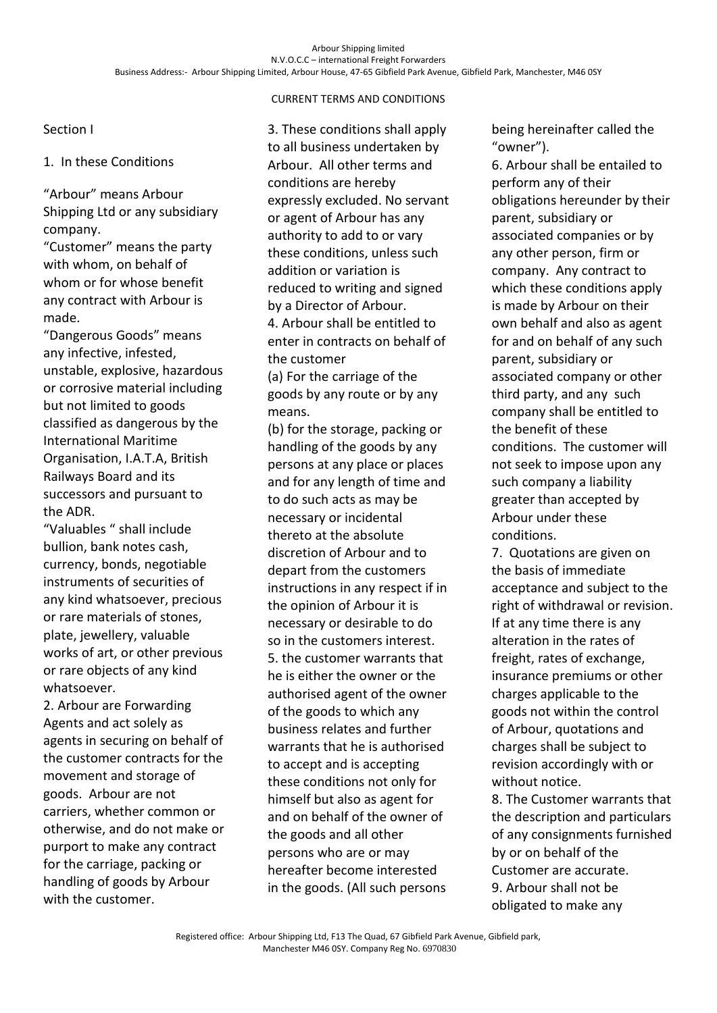Section I

1. In these Conditions

"Arbour" means Arbour Shipping Ltd or any subsidiary company.

"Customer" means the party with whom, on behalf of whom or for whose benefit any contract with Arbour is made.

"Dangerous Goods" means any infective, infested, unstable, explosive, hazardous or corrosive material including but not limited to goods classified as dangerous by the International Maritime Organisation, I.A.T.A, British Railways Board and its successors and pursuant to the ADR.

"Valuables " shall include bullion, bank notes cash, currency, bonds, negotiable instruments of securities of any kind whatsoever, precious or rare materials of stones, plate, jewellery, valuable works of art, or other previous or rare objects of any kind whatsoever.

2. Arbour are Forwarding Agents and act solely as agents in securing on behalf of the customer contracts for the movement and storage of goods. Arbour are not carriers, whether common or otherwise, and do not make or purport to make any contract for the carriage, packing or handling of goods by Arbour with the customer.

3. These conditions shall apply to all business undertaken by Arbour. All other terms and conditions are hereby expressly excluded. No servant or agent of Arbour has any authority to add to or vary these conditions, unless such addition or variation is reduced to writing and signed by a Director of Arbour. 4. Arbour shall be entitled to enter in contracts on behalf of the customer

(a) For the carriage of the goods by any route or by any means.

(b) for the storage, packing or handling of the goods by any persons at any place or places and for any length of time and to do such acts as may be necessary or incidental thereto at the absolute discretion of Arbour and to depart from the customers instructions in any respect if in the opinion of Arbour it is necessary or desirable to do so in the customers interest. 5. the customer warrants that he is either the owner or the authorised agent of the owner of the goods to which any business relates and further warrants that he is authorised to accept and is accepting these conditions not only for himself but also as agent for and on behalf of the owner of the goods and all other persons who are or may hereafter become interested in the goods. (All such persons being hereinafter called the "owner").

6. Arbour shall be entailed to perform any of their obligations hereunder by their parent, subsidiary or associated companies or by any other person, firm or company. Any contract to which these conditions apply is made by Arbour on their own behalf and also as agent for and on behalf of any such parent, subsidiary or associated company or other third party, and any such company shall be entitled to the benefit of these conditions. The customer will not seek to impose upon any such company a liability greater than accepted by Arbour under these conditions.

7. Quotations are given on the basis of immediate acceptance and subject to the right of withdrawal or revision. If at any time there is any alteration in the rates of freight, rates of exchange, insurance premiums or other charges applicable to the goods not within the control of Arbour, quotations and charges shall be subject to revision accordingly with or without notice.

8. The Customer warrants that the description and particulars of any consignments furnished by or on behalf of the Customer are accurate. 9. Arbour shall not be obligated to make any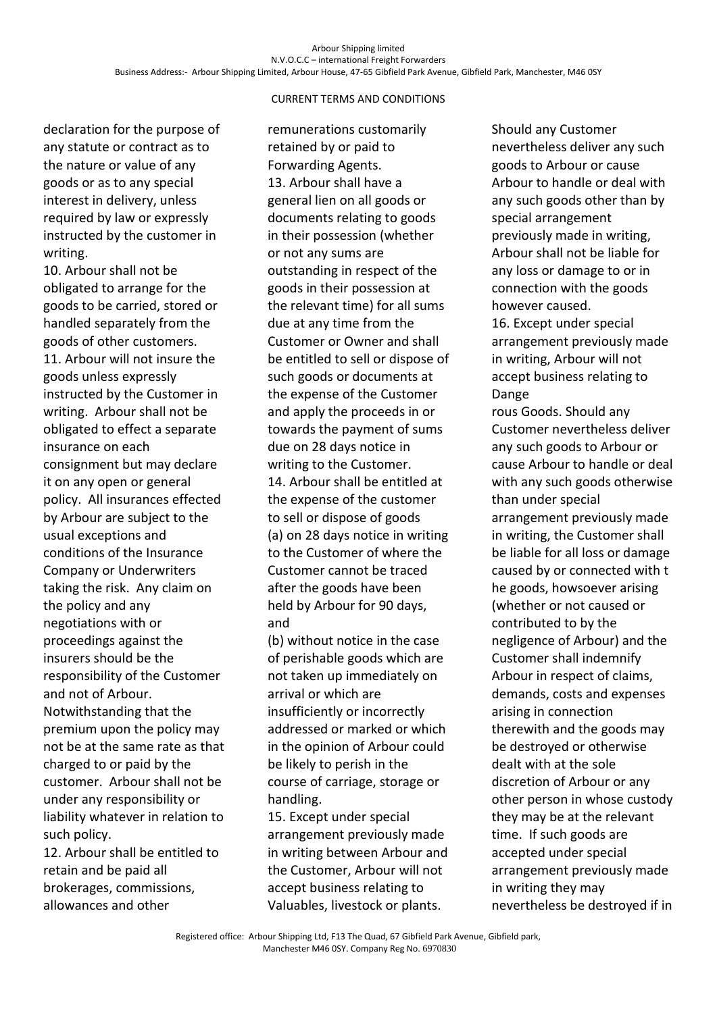declaration for the purpose of any statute or contract as to the nature or value of any goods or as to any special interest in delivery, unless required by law or expressly instructed by the customer in writing.

10. Arbour shall not be obligated to arrange for the goods to be carried, stored or handled separately from the goods of other customers. 11. Arbour will not insure the goods unless expressly instructed by the Customer in writing. Arbour shall not be obligated to effect a separate insurance on each consignment but may declare it on any open or general policy. All insurances effected by Arbour are subject to the usual exceptions and conditions of the Insurance Company or Underwriters taking the risk. Any claim on the policy and any negotiations with or proceedings against the insurers should be the responsibility of the Customer and not of Arbour. Notwithstanding that the premium upon the policy may not be at the same rate as that charged to or paid by the customer. Arbour shall not be under any responsibility or liability whatever in relation to such policy.

12. Arbour shall be entitled to retain and be paid all brokerages, commissions, allowances and other

remunerations customarily retained by or paid to Forwarding Agents. 13. Arbour shall have a general lien on all goods or documents relating to goods in their possession (whether or not any sums are outstanding in respect of the goods in their possession at the relevant time) for all sums due at any time from the Customer or Owner and shall be entitled to sell or dispose of such goods or documents at the expense of the Customer and apply the proceeds in or towards the payment of sums due on 28 days notice in writing to the Customer. 14. Arbour shall be entitled at the expense of the customer to sell or dispose of goods (a) on 28 days notice in writing to the Customer of where the Customer cannot be traced after the goods have been held by Arbour for 90 days, and

(b) without notice in the case of perishable goods which are not taken up immediately on arrival or which are insufficiently or incorrectly addressed or marked or which in the opinion of Arbour could be likely to perish in the course of carriage, storage or handling.

15. Except under special arrangement previously made in writing between Arbour and the Customer, Arbour will not accept business relating to Valuables, livestock or plants.

Should any Customer nevertheless deliver any such goods to Arbour or cause Arbour to handle or deal with any such goods other than by special arrangement previously made in writing, Arbour shall not be liable for any loss or damage to or in connection with the goods however caused.

16. Except under special arrangement previously made in writing, Arbour will not accept business relating to Dange

rous Goods. Should any Customer nevertheless deliver any such goods to Arbour or cause Arbour to handle or deal with any such goods otherwise than under special arrangement previously made in writing, the Customer shall be liable for all loss or damage caused by or connected with t he goods, howsoever arising (whether or not caused or contributed to by the negligence of Arbour) and the Customer shall indemnify Arbour in respect of claims, demands, costs and expenses arising in connection therewith and the goods may be destroyed or otherwise dealt with at the sole discretion of Arbour or any other person in whose custody they may be at the relevant time. If such goods are accepted under special arrangement previously made in writing they may nevertheless be destroyed if in

Registered office: Arbour Shipping Ltd, F13 The Quad, 67 Gibfield Park Avenue, Gibfield park, Manchester M46 0SY. Company Reg No. 6970830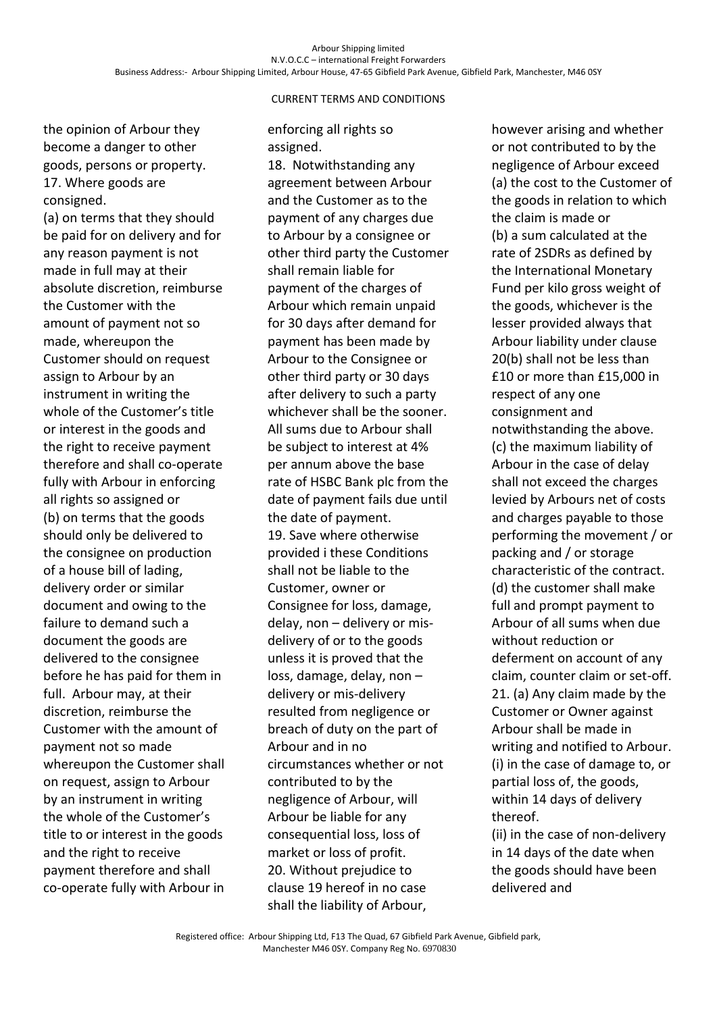the opinion of Arbour they become a danger to other goods, persons or property. 17. Where goods are consigned.

(a) on terms that they should be paid for on delivery and for any reason payment is not made in full may at their absolute discretion, reimburse the Customer with the amount of payment not so made, whereupon the Customer should on request assign to Arbour by an instrument in writing the whole of the Customer's title or interest in the goods and the right to receive payment therefore and shall co-operate fully with Arbour in enforcing all rights so assigned or (b) on terms that the goods should only be delivered to the consignee on production of a house bill of lading, delivery order or similar document and owing to the failure to demand such a document the goods are delivered to the consignee before he has paid for them in full. Arbour may, at their discretion, reimburse the Customer with the amount of payment not so made whereupon the Customer shall on request, assign to Arbour by an instrument in writing the whole of the Customer's title to or interest in the goods and the right to receive payment therefore and shall co-operate fully with Arbour in

## CURRENT TERMS AND CONDITIONS

### enforcing all rights so assigned.

18. Notwithstanding any agreement between Arbour and the Customer as to the payment of any charges due to Arbour by a consignee or other third party the Customer shall remain liable for payment of the charges of Arbour which remain unpaid for 30 days after demand for payment has been made by Arbour to the Consignee or other third party or 30 days after delivery to such a party whichever shall be the sooner. All sums due to Arbour shall be subject to interest at 4% per annum above the base rate of HSBC Bank plc from the date of payment fails due until the date of payment. 19. Save where otherwise provided i these Conditions shall not be liable to the Customer, owner or Consignee for loss, damage, delay, non – delivery or misdelivery of or to the goods unless it is proved that the loss, damage, delay, non – delivery or mis-delivery resulted from negligence or breach of duty on the part of Arbour and in no circumstances whether or not contributed to by the negligence of Arbour, will Arbour be liable for any consequential loss, loss of market or loss of profit. 20. Without prejudice to clause 19 hereof in no case shall the liability of Arbour,

however arising and whether or not contributed to by the negligence of Arbour exceed (a) the cost to the Customer of the goods in relation to which the claim is made or (b) a sum calculated at the rate of 2SDRs as defined by the International Monetary Fund per kilo gross weight of the goods, whichever is the lesser provided always that Arbour liability under clause 20(b) shall not be less than £10 or more than £15,000 in respect of any one consignment and notwithstanding the above. (c) the maximum liability of Arbour in the case of delay shall not exceed the charges levied by Arbours net of costs and charges payable to those performing the movement / or packing and / or storage characteristic of the contract. (d) the customer shall make full and prompt payment to Arbour of all sums when due without reduction or deferment on account of any claim, counter claim or set-off. 21. (a) Any claim made by the Customer or Owner against Arbour shall be made in writing and notified to Arbour. (i) in the case of damage to, or partial loss of, the goods, within 14 days of delivery thereof.

(ii) in the case of non-delivery in 14 days of the date when the goods should have been delivered and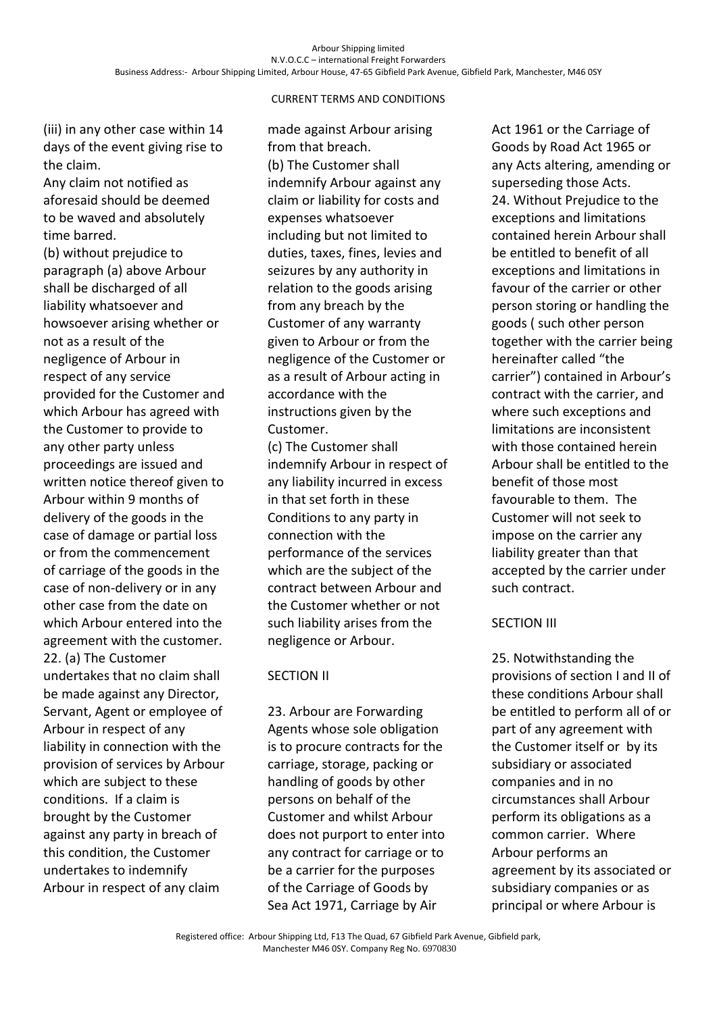(iii) in any other case within 14 days of the event giving rise to the claim.

Any claim not notified as aforesaid should be deemed to be waved and absolutely time barred.

(b) without prejudice to paragraph (a) above Arbour shall be discharged of all liability whatsoever and howsoever arising whether or not as a result of the negligence of Arbour in respect of any service provided for the Customer and which Arbour has agreed with the Customer to provide to any other party unless proceedings are issued and written notice thereof given to Arbour within 9 months of delivery of the goods in the case of damage or partial loss or from the commencement of carriage of the goods in the case of non-delivery or in any other case from the date on which Arbour entered into the agreement with the customer. 22. (a) The Customer undertakes that no claim shall be made against any Director, Servant, Agent or employee of Arbour in respect of any liability in connection with the provision of services by Arbour which are subject to these conditions. If a claim is brought by the Customer against any party in breach of this condition, the Customer undertakes to indemnify Arbour in respect of any claim

made against Arbour arising from that breach. (b) The Customer shall indemnify Arbour against any claim or liability for costs and expenses whatsoever including but not limited to duties, taxes, fines, levies and seizures by any authority in relation to the goods arising from any breach by the Customer of any warranty given to Arbour or from the negligence of the Customer or as a result of Arbour acting in accordance with the instructions given by the Customer.

(c) The Customer shall indemnify Arbour in respect of any liability incurred in excess in that set forth in these Conditions to any party in connection with the performance of the services which are the subject of the contract between Arbour and the Customer whether or not such liability arises from the negligence or Arbour.

#### SECTION II

23. Arbour are Forwarding Agents whose sole obligation is to procure contracts for the carriage, storage, packing or handling of goods by other persons on behalf of the Customer and whilst Arbour does not purport to enter into any contract for carriage or to be a carrier for the purposes of the Carriage of Goods by Sea Act 1971, Carriage by Air

Act 1961 or the Carriage of Goods by Road Act 1965 or any Acts altering, amending or superseding those Acts. 24. Without Prejudice to the exceptions and limitations contained herein Arbour shall be entitled to benefit of all exceptions and limitations in favour of the carrier or other person storing or handling the goods ( such other person together with the carrier being hereinafter called "the carrier") contained in Arbour's contract with the carrier, and where such exceptions and limitations are inconsistent with those contained herein Arbour shall be entitled to the benefit of those most favourable to them. The Customer will not seek to impose on the carrier any liability greater than that accepted by the carrier under such contract.

#### SECTION III

25. Notwithstanding the provisions of section I and II of these conditions Arbour shall be entitled to perform all of or part of any agreement with the Customer itself or by its subsidiary or associated companies and in no circumstances shall Arbour perform its obligations as a common carrier. Where Arbour performs an agreement by its associated or subsidiary companies or as principal or where Arbour is